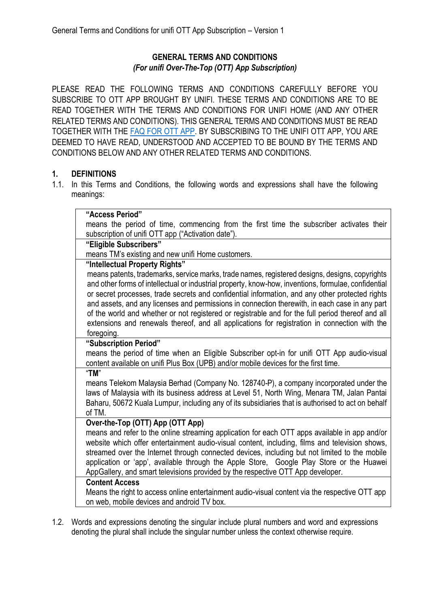# **GENERAL TERMS AND CONDITIONS** *(For unifi Over-The-Top (OTT) App Subscription)*

PLEASE READ THE FOLLOWING TERMS AND CONDITIONS CAREFULLY BEFORE YOU SUBSCRIBE TO OTT APP BROUGHT BY UNIFI. THESE TERMS AND CONDITIONS ARE TO BE READ TOGETHER WITH THE TERMS AND CONDITIONS FOR UNIFI HOME (AND ANY OTHER RELATED TERMS AND CONDITIONS). THIS GENERAL TERMS AND CONDITIONS MUST BE READ TOGETHER WITH THE [FAQ FOR OTT APP.](https://unifi.com.my/sites/default/files/html/plus-box/doc/(OTT-VERSION)-FAQ-unifi-TV-Content-Update.pdf) BY SUBSCRIBING TO THE UNIFI OTT APP, YOU ARE DEEMED TO HAVE READ, UNDERSTOOD AND ACCEPTED TO BE BOUND BY THE TERMS AND CONDITIONS BELOW AND ANY OTHER RELATED TERMS AND CONDITIONS.

## **1. DEFINITIONS**

1.1. In this Terms and Conditions, the following words and expressions shall have the following meanings:

| "Access Period"                                                                                      |
|------------------------------------------------------------------------------------------------------|
| means the period of time, commencing from the first time the subscriber activates their              |
| subscription of unifi OTT app ("Activation date").                                                   |
| "Eligible Subscribers"                                                                               |
| means TM's existing and new unifi Home customers.                                                    |
| "Intellectual Property Rights"                                                                       |
| means patents, trademarks, service marks, trade names, registered designs, designs, copyrights       |
| and other forms of intellectual or industrial property, know-how, inventions, formulae, confidential |
| or secret processes, trade secrets and confidential information, and any other protected rights      |
| and assets, and any licenses and permissions in connection therewith, in each case in any part       |
| of the world and whether or not registered or registrable and for the full period thereof and all    |
| extensions and renewals thereof, and all applications for registration in connection with the        |
| foregoing.                                                                                           |
| "Subscription Period"                                                                                |
| means the period of time when an Eligible Subscriber opt-in for unifi OTT App audio-visual           |
| content available on unifi Plus Box (UPB) and/or mobile devices for the first time.<br>"TM"          |
| means Telekom Malaysia Berhad (Company No. 128740-P), a company incorporated under the               |
| laws of Malaysia with its business address at Level 51, North Wing, Menara TM, Jalan Pantai          |
| Baharu, 50672 Kuala Lumpur, including any of its subsidiaries that is authorised to act on behalf    |
| of TM.                                                                                               |
| Over-the-Top (OTT) App (OTT App)                                                                     |
| means and refer to the online streaming application for each OTT apps available in app and/or        |
| website which offer entertainment audio-visual content, including, films and television shows,       |
| streamed over the Internet through connected devices, including but not limited to the mobile        |
| application or 'app', available through the Apple Store, Google Play Store or the Huawei             |
| AppGallery, and smart televisions provided by the respective OTT App developer.                      |
| <b>Content Access</b>                                                                                |
| Means the right to access online entertainment audio-visual content via the respective OTT app       |
| on web, mobile devices and android TV box.                                                           |
|                                                                                                      |

1.2. Words and expressions denoting the singular include plural numbers and word and expressions denoting the plural shall include the singular number unless the context otherwise require.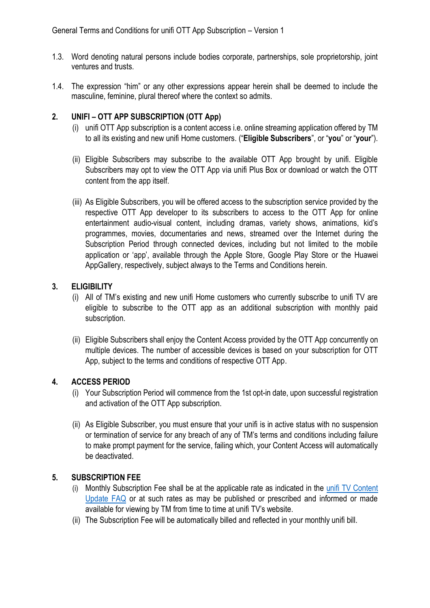- 1.3. Word denoting natural persons include bodies corporate, partnerships, sole proprietorship, joint ventures and trusts.
- 1.4. The expression "him" or any other expressions appear herein shall be deemed to include the masculine, feminine, plural thereof where the context so admits.

#### **2. UNIFI – OTT APP SUBSCRIPTION (OTT App)**

- (i) unifi OTT App subscription is a content access i.e. online streaming application offered by TM to all its existing and new unifi Home customers. ("**Eligible Subscribers**", or "**you**" or "**your**").
- (ii) Eligible Subscribers may subscribe to the available OTT App brought by unifi. Eligible Subscribers may opt to view the OTT App via unifi Plus Box or download or watch the OTT content from the app itself.
- (iii) As Eligible Subscribers, you will be offered access to the subscription service provided by the respective OTT App developer to its subscribers to access to the OTT App for online entertainment audio-visual content, including dramas, variety shows, animations, kid's programmes, movies, documentaries and news, streamed over the Internet during the Subscription Period through connected devices, including but not limited to the mobile application or 'app', available through the Apple Store, Google Play Store or the Huawei AppGallery, respectively, subject always to the Terms and Conditions herein.

#### **3. ELIGIBILITY**

- (i) All of TM's existing and new unifi Home customers who currently subscribe to unifi TV are eligible to subscribe to the OTT app as an additional subscription with monthly paid subscription.
- (ii) Eligible Subscribers shall enjoy the Content Access provided by the OTT App concurrently on multiple devices. The number of accessible devices is based on your subscription for OTT App, subject to the terms and conditions of respective OTT App.

#### **4. ACCESS PERIOD**

- (i) Your Subscription Period will commence from the 1st opt-in date, upon successful registration and activation of the OTT App subscription.
- (ii) As Eligible Subscriber, you must ensure that your unifi is in active status with no suspension or termination of service for any breach of any of TM's terms and conditions including failure to make prompt payment for the service, failing which, your Content Access will automatically be deactivated.

#### **5. SUBSCRIPTION FEE**

- (i) Monthly Subscription Fee shall be at the applicable rate as indicated in the [unifi TV Content](https://unifi.com.my/sites/default/files/html/plus-box/doc/(OTT-VERSION)-FAQ-unifi-TV-Content-Update.pdf)  [Update FAQ](https://unifi.com.my/sites/default/files/html/plus-box/doc/(OTT-VERSION)-FAQ-unifi-TV-Content-Update.pdf) or at such rates as may be published or prescribed and informed or made available for viewing by TM from time to time at unifi TV's website.
- (ii) The Subscription Fee will be automatically billed and reflected in your monthly unifi bill.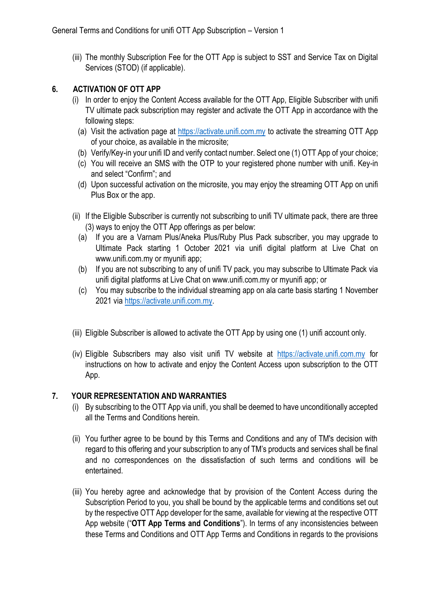(iii) The monthly Subscription Fee for the OTT App is subject to SST and Service Tax on Digital Services (STOD) (if applicable).

### **6. ACTIVATION OF OTT APP**

- (i) In order to enjoy the Content Access available for the OTT App, Eligible Subscriber with unifi TV ultimate pack subscription may register and activate the OTT App in accordance with the following steps:
	- (a) Visit the activation page at [https://activate.unifi.com.my](https://activate.unifi.com.my/) to activate the streaming OTT App of your choice, as available in the microsite;
	- (b) Verify/Key-in your unifi ID and verify contact number. Select one (1) OTT App of your choice;
	- (c) You will receive an SMS with the OTP to your registered phone number with unifi. Key-in and select "Confirm"; and
	- (d) Upon successful activation on the microsite, you may enjoy the streaming OTT App on unifi Plus Box or the app.
- (ii) If the Eligible Subscriber is currently not subscribing to unifi TV ultimate pack, there are three (3) ways to enjoy the OTT App offerings as per below:
	- (a) If you are a Varnam Plus/Aneka Plus/Ruby Plus Pack subscriber, you may upgrade to Ultimate Pack starting 1 October 2021 via unifi digital platform at Live Chat on www.unifi.com.my or myunifi app;
	- (b) If you are not subscribing to any of unifi TV pack, you may subscribe to Ultimate Pack via unifi digital platforms at Live Chat on www.unifi.com.my or myunifi app; or
	- (c) You may subscribe to the individual streaming app on ala carte basis starting 1 November 2021 vi[a https://activate.unifi.com.my.](https://activate.unifi.com.my/)
- (iii) Eligible Subscriber is allowed to activate the OTT App by using one (1) unifi account only.
- (iv) Eligible Subscribers may also visit unifi TV website at [https://activate.unifi.com.my](https://activate.unifi.com.my/) for instructions on how to activate and enjoy the Content Access upon subscription to the OTT App.

#### **7. YOUR REPRESENTATION AND WARRANTIES**

- (i) By subscribing to the OTT App via unifi, you shall be deemed to have unconditionally accepted all the Terms and Conditions herein.
- (ii) You further agree to be bound by this Terms and Conditions and any of TM's decision with regard to this offering and your subscription to any of TM's products and services shall be final and no correspondences on the dissatisfaction of such terms and conditions will be entertained.
- (iii) You hereby agree and acknowledge that by provision of the Content Access during the Subscription Period to you, you shall be bound by the applicable terms and conditions set out by the respective OTT App developer for the same, available for viewing at the respective OTT App website ("**OTT App Terms and Conditions**"). In terms of any inconsistencies between these Terms and Conditions and OTT App Terms and Conditions in regards to the provisions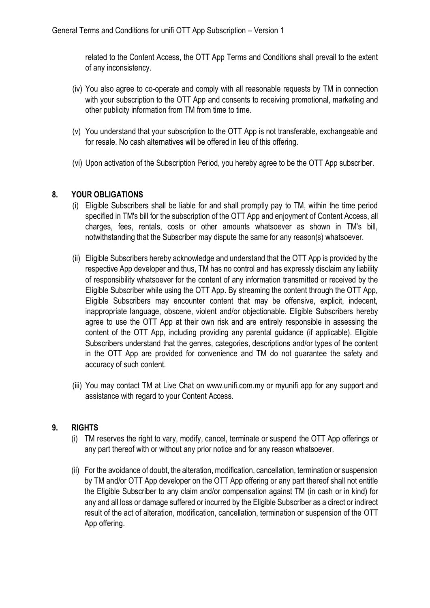related to the Content Access, the OTT App Terms and Conditions shall prevail to the extent of any inconsistency.

- (iv) You also agree to co-operate and comply with all reasonable requests by TM in connection with your subscription to the OTT App and consents to receiving promotional, marketing and other publicity information from TM from time to time.
- (v) You understand that your subscription to the OTT App is not transferable, exchangeable and for resale. No cash alternatives will be offered in lieu of this offering.
- (vi) Upon activation of the Subscription Period, you hereby agree to be the OTT App subscriber.

## **8. YOUR OBLIGATIONS**

- (i) Eligible Subscribers shall be liable for and shall promptly pay to TM, within the time period specified in TM's bill for the subscription of the OTT App and enjoyment of Content Access, all charges, fees, rentals, costs or other amounts whatsoever as shown in TM's bill, notwithstanding that the Subscriber may dispute the same for any reason(s) whatsoever.
- (ii) Eligible Subscribers hereby acknowledge and understand that the OTT App is provided by the respective App developer and thus, TM has no control and has expressly disclaim any liability of responsibility whatsoever for the content of any information transmitted or received by the Eligible Subscriber while using the OTT App. By streaming the content through the OTT App, Eligible Subscribers may encounter content that may be offensive, explicit, indecent, inappropriate language, obscene, violent and/or objectionable. Eligible Subscribers hereby agree to use the OTT App at their own risk and are entirely responsible in assessing the content of the OTT App, including providing any parental guidance (if applicable). Eligible Subscribers understand that the genres, categories, descriptions and/or types of the content in the OTT App are provided for convenience and TM do not guarantee the safety and accuracy of such content.
- (iii) You may contact TM at Live Chat on www.unifi.com.my or myunifi app for any support and assistance with regard to your Content Access.

#### **9. RIGHTS**

- (i) TM reserves the right to vary, modify, cancel, terminate or suspend the OTT App offerings or any part thereof with or without any prior notice and for any reason whatsoever.
- (ii) For the avoidance of doubt, the alteration, modification, cancellation, termination or suspension by TM and/or OTT App developer on the OTT App offering or any part thereof shall not entitle the Eligible Subscriber to any claim and/or compensation against TM (in cash or in kind) for any and all loss or damage suffered or incurred by the Eligible Subscriber as a direct or indirect result of the act of alteration, modification, cancellation, termination or suspension of the OTT App offering.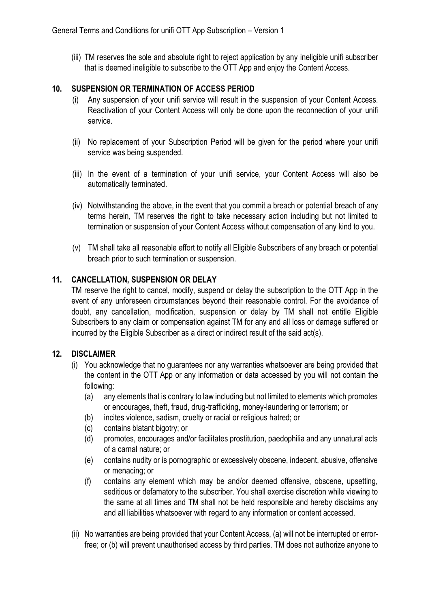(iii) TM reserves the sole and absolute right to reject application by any ineligible unifi subscriber that is deemed ineligible to subscribe to the OTT App and enjoy the Content Access.

#### **10. SUSPENSION OR TERMINATION OF ACCESS PERIOD**

- (i) Any suspension of your unifi service will result in the suspension of your Content Access. Reactivation of your Content Access will only be done upon the reconnection of your unifi service.
- (ii) No replacement of your Subscription Period will be given for the period where your unifi service was being suspended.
- (iii) In the event of a termination of your unifi service, your Content Access will also be automatically terminated.
- (iv) Notwithstanding the above, in the event that you commit a breach or potential breach of any terms herein, TM reserves the right to take necessary action including but not limited to termination or suspension of your Content Access without compensation of any kind to you.
- (v) TM shall take all reasonable effort to notify all Eligible Subscribers of any breach or potential breach prior to such termination or suspension.

## **11. CANCELLATION, SUSPENSION OR DELAY**

TM reserve the right to cancel, modify, suspend or delay the subscription to the OTT App in the event of any unforeseen circumstances beyond their reasonable control. For the avoidance of doubt, any cancellation, modification, suspension or delay by TM shall not entitle Eligible Subscribers to any claim or compensation against TM for any and all loss or damage suffered or incurred by the Eligible Subscriber as a direct or indirect result of the said act(s).

#### **12. DISCLAIMER**

- (i) You acknowledge that no guarantees nor any warranties whatsoever are being provided that the content in the OTT App or any information or data accessed by you will not contain the following:
	- (a) any elements that is contrary to law including but not limited to elements which promotes or encourages, theft, fraud, drug-trafficking, money-laundering or terrorism; or
	- (b) incites violence, sadism, cruelty or racial or religious hatred; or
	- (c) contains blatant bigotry; or
	- (d) promotes, encourages and/or facilitates prostitution, paedophilia and any unnatural acts of a carnal nature; or
	- (e) contains nudity or is pornographic or excessively obscene, indecent, abusive, offensive or menacing; or
	- (f) contains any element which may be and/or deemed offensive, obscene, upsetting, seditious or defamatory to the subscriber. You shall exercise discretion while viewing to the same at all times and TM shall not be held responsible and hereby disclaims any and all liabilities whatsoever with regard to any information or content accessed.
- (ii) No warranties are being provided that your Content Access, (a) will not be interrupted or errorfree; or (b) will prevent unauthorised access by third parties. TM does not authorize anyone to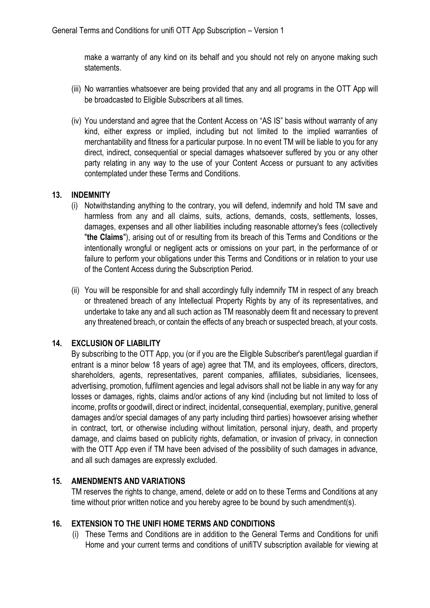make a warranty of any kind on its behalf and you should not rely on anyone making such statements.

- (iii) No warranties whatsoever are being provided that any and all programs in the OTT App will be broadcasted to Eligible Subscribers at all times.
- (iv) You understand and agree that the Content Access on "AS IS" basis without warranty of any kind, either express or implied, including but not limited to the implied warranties of merchantability and fitness for a particular purpose. In no event TM will be liable to you for any direct, indirect, consequential or special damages whatsoever suffered by you or any other party relating in any way to the use of your Content Access or pursuant to any activities contemplated under these Terms and Conditions.

#### **13. INDEMNITY**

- (i) Notwithstanding anything to the contrary, you will defend, indemnify and hold TM save and harmless from any and all claims, suits, actions, demands, costs, settlements, losses, damages, expenses and all other liabilities including reasonable attorney's fees (collectively "**the Claims**"), arising out of or resulting from its breach of this Terms and Conditions or the intentionally wrongful or negligent acts or omissions on your part, in the performance of or failure to perform your obligations under this Terms and Conditions or in relation to your use of the Content Access during the Subscription Period.
- (ii) You will be responsible for and shall accordingly fully indemnify TM in respect of any breach or threatened breach of any Intellectual Property Rights by any of its representatives, and undertake to take any and all such action as TM reasonably deem fit and necessary to prevent any threatened breach, or contain the effects of any breach or suspected breach, at your costs.

# **14. EXCLUSION OF LIABILITY**

By subscribing to the OTT App, you (or if you are the Eligible Subscriber's parent/legal guardian if entrant is a minor below 18 years of age) agree that TM, and its employees, officers, directors, shareholders, agents, representatives, parent companies, affiliates, subsidiaries, licensees, advertising, promotion, fulfilment agencies and legal advisors shall not be liable in any way for any losses or damages, rights, claims and/or actions of any kind (including but not limited to loss of income, profits or goodwill, direct or indirect, incidental, consequential, exemplary, punitive, general damages and/or special damages of any party including third parties) howsoever arising whether in contract, tort, or otherwise including without limitation, personal injury, death, and property damage, and claims based on publicity rights, defamation, or invasion of privacy, in connection with the OTT App even if TM have been advised of the possibility of such damages in advance, and all such damages are expressly excluded.

#### **15. AMENDMENTS AND VARIATIONS**

TM reserves the rights to change, amend, delete or add on to these Terms and Conditions at any time without prior written notice and you hereby agree to be bound by such amendment(s).

#### **16. EXTENSION TO THE UNIFI HOME TERMS AND CONDITIONS**

(i) These Terms and Conditions are in addition to the General Terms and Conditions for unifi Home and your current terms and conditions of unifiTV subscription available for viewing at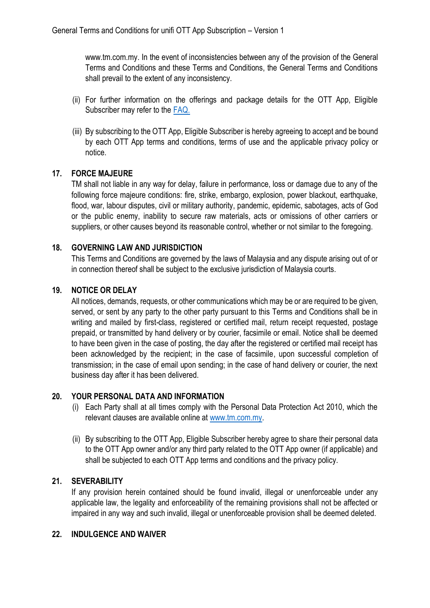www.tm.com.my. In the event of inconsistencies between any of the provision of the General Terms and Conditions and these Terms and Conditions, the General Terms and Conditions shall prevail to the extent of any inconsistency.

- (ii) For further information on the offerings and package details for the OTT App, Eligible Subscriber may refer to the [FAQ.](https://unifi.com.my/sites/default/files/html/plus-box/doc/(OTT-VERSION)-FAQ-unifi-TV-Content-Update.pdf)
- (iii) By subscribing to the OTT App, Eligible Subscriber is hereby agreeing to accept and be bound by each OTT App terms and conditions, terms of use and the applicable privacy policy or notice.

## **17. FORCE MAJEURE**

TM shall not liable in any way for delay, failure in performance, loss or damage due to any of the following force majeure conditions: fire, strike, embargo, explosion, power blackout, earthquake, flood, war, labour disputes, civil or military authority, pandemic, epidemic, sabotages, acts of God or the public enemy, inability to secure raw materials, acts or omissions of other carriers or suppliers, or other causes beyond its reasonable control, whether or not similar to the foregoing.

## **18. GOVERNING LAW AND JURISDICTION**

This Terms and Conditions are governed by the laws of Malaysia and any dispute arising out of or in connection thereof shall be subject to the exclusive jurisdiction of Malaysia courts.

## **19. NOTICE OR DELAY**

All notices, demands, requests, or other communications which may be or are required to be given, served, or sent by any party to the other party pursuant to this Terms and Conditions shall be in writing and mailed by first-class, registered or certified mail, return receipt requested, postage prepaid, or transmitted by hand delivery or by courier, facsimile or email. Notice shall be deemed to have been given in the case of posting, the day after the registered or certified mail receipt has been acknowledged by the recipient; in the case of facsimile, upon successful completion of transmission; in the case of email upon sending; in the case of hand delivery or courier, the next business day after it has been delivered.

#### **20. YOUR PERSONAL DATA AND INFORMATION**

- (i) Each Party shall at all times comply with the Personal Data Protection Act 2010, which the relevant clauses are available online at [www.tm.com.my.](http://www.tm.com.my/)
- (ii) By subscribing to the OTT App, Eligible Subscriber hereby agree to share their personal data to the OTT App owner and/or any third party related to the OTT App owner (if applicable) and shall be subjected to each OTT App terms and conditions and the privacy policy.

### **21. SEVERABILITY**

If any provision herein contained should be found invalid, illegal or unenforceable under any applicable law, the legality and enforceability of the remaining provisions shall not be affected or impaired in any way and such invalid, illegal or unenforceable provision shall be deemed deleted.

### **22. INDULGENCE AND WAIVER**